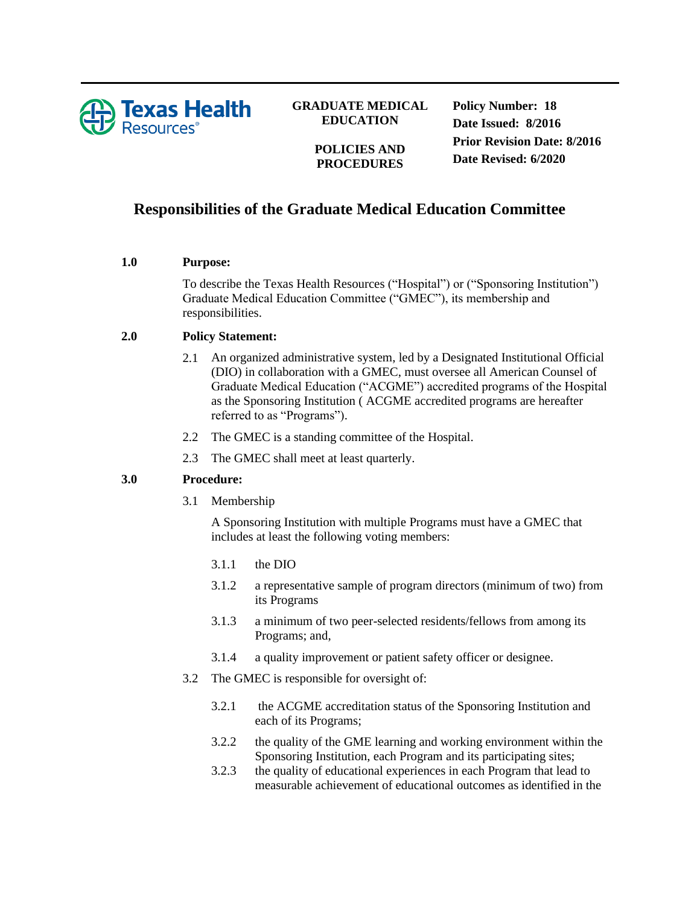

## **GRADUATE MEDICAL EDUCATION**

**POLICIES AND PROCEDURES**

**Policy Number: 18 Date Issued: 8/2016 Prior Revision Date: 8/2016 Date Revised: 6/2020**

# **Responsibilities of the Graduate Medical Education Committee**

#### **1.0 Purpose:**

To describe the Texas Health Resources ("Hospital") or ("Sponsoring Institution") Graduate Medical Education Committee ("GMEC"), its membership and responsibilities.

### **2.0 Policy Statement:**

- 2.1 An organized administrative system, led by a Designated Institutional Official (DIO) in collaboration with a GMEC, must oversee all American Counsel of Graduate Medical Education ("ACGME") accredited programs of the Hospital as the Sponsoring Institution ( ACGME accredited programs are hereafter referred to as "Programs").
- 2.2 The GMEC is a standing committee of the Hospital.
- 2.3 The GMEC shall meet at least quarterly.

## **3.0 Procedure:**

3.1 Membership

A Sponsoring Institution with multiple Programs must have a GMEC that includes at least the following voting members:

- 3.1.1 the DIO
- 3.1.2 a representative sample of program directors (minimum of two) from its Programs
- 3.1.3 a minimum of two peer-selected residents/fellows from among its Programs; and,
- 3.1.4 a quality improvement or patient safety officer or designee.
- 3.2 The GMEC is responsible for oversight of:
	- 3.2.1 the ACGME accreditation status of the Sponsoring Institution and each of its Programs;
	- 3.2.2 the quality of the GME learning and working environment within the Sponsoring Institution, each Program and its participating sites;
	- 3.2.3 the quality of educational experiences in each Program that lead to measurable achievement of educational outcomes as identified in the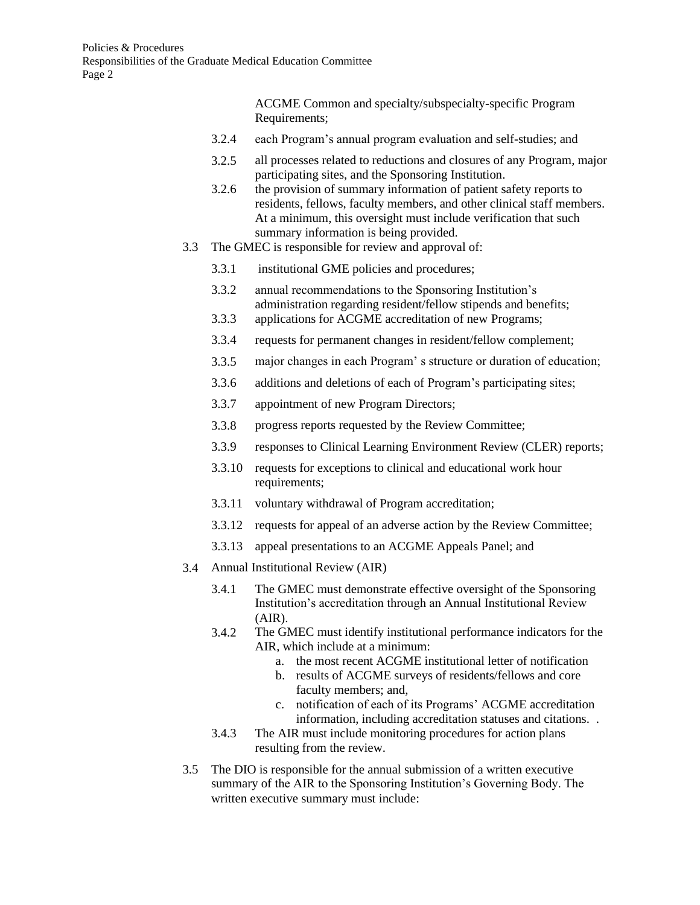ACGME Common and specialty/subspecialty-specific Program Requirements;

- 3.2.4 each Program's annual program evaluation and self-studies; and
- 3.2.5 all processes related to reductions and closures of any Program, major participating sites, and the Sponsoring Institution.
- 3.2.6 the provision of summary information of patient safety reports to residents, fellows, faculty members, and other clinical staff members. At a minimum, this oversight must include verification that such summary information is being provided.
- 3.3 The GMEC is responsible for review and approval of:
	- 3.3.1 institutional GME policies and procedures;
	- 3.3.2 annual recommendations to the Sponsoring Institution's administration regarding resident/fellow stipends and benefits;
	- 3.3.3 applications for ACGME accreditation of new Programs;
	- 3.3.4 requests for permanent changes in resident/fellow complement;
	- 3.3.5 major changes in each Program' s structure or duration of education;
	- 3.3.6 additions and deletions of each of Program's participating sites;
	- 3.3.7 appointment of new Program Directors;
	- 3.3.8 progress reports requested by the Review Committee;
	- 3.3.9 responses to Clinical Learning Environment Review (CLER) reports;
	- 3.3.10 requests for exceptions to clinical and educational work hour requirements;
	- 3.3.11 voluntary withdrawal of Program accreditation;
	- 3.3.12 requests for appeal of an adverse action by the Review Committee;
	- 3.3.13 appeal presentations to an ACGME Appeals Panel; and
- 3.4 Annual Institutional Review (AIR)
	- 3.4.1 The GMEC must demonstrate effective oversight of the Sponsoring Institution's accreditation through an Annual Institutional Review (AIR).
	- 3.4.2 The GMEC must identify institutional performance indicators for the AIR, which include at a minimum:
		- a. the most recent ACGME institutional letter of notification
		- b. results of ACGME surveys of residents/fellows and core faculty members; and,
		- c. notification of each of its Programs' ACGME accreditation information, including accreditation statuses and citations. .
	- 3.4.3 The AIR must include monitoring procedures for action plans resulting from the review.
- 3.5 The DIO is responsible for the annual submission of a written executive summary of the AIR to the Sponsoring Institution's Governing Body. The written executive summary must include: